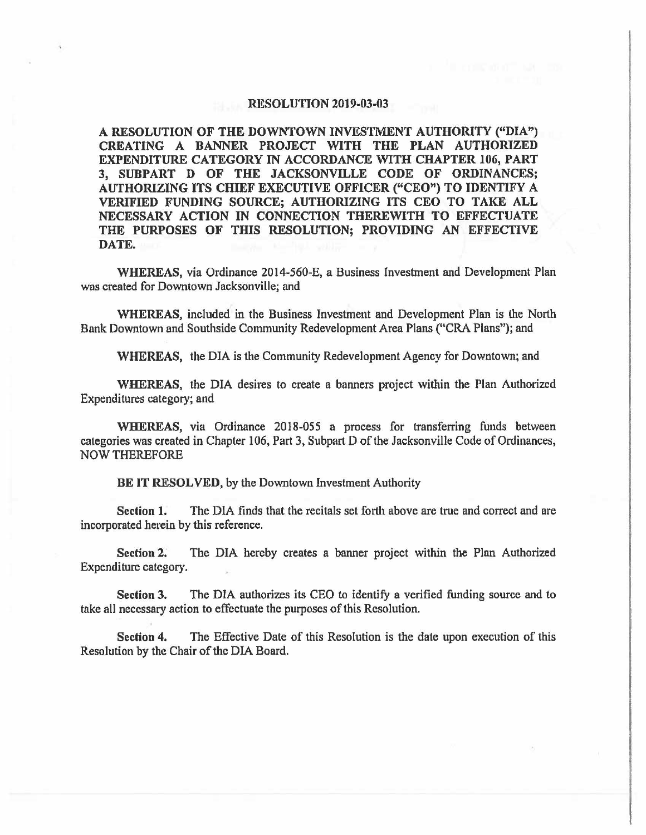## **RESOLUTION 2019-03-03**

**A RESOLUTION OF THE DOWNTOWN INVESTMENT AUTHORITY ("DIA") CREATING A BANNER PROJECT WITH THE PLAN AUTHORIZED EXPENDITURE CATEGORY** IN **ACCORDANCE WITH CHAPTER** 106, PART **3, SUBPART D OF THE JACKSONVILLE CODE OF ORDINANCES; AUTHORIZING ITS CHIEF EXECUTIVE OFFICER ("CEO") TO IDENTIFY A VERIFIED FUNDING SOURCE; AUTHORIZING ITS CEO TO TAKE ALL NECESSARY ACTION** IN **CONNECTION THEREWITH TO EFFECTUATE THE PURPOSES OF THIS RESOLUTION; PROVIDING AN EFFECTIVE DATE.** 

**WHEREAS,** via Ordinance 2014-560-E, a Business Investment and Development Plan was created for Downtown Jacksonville; and

**WHEREAS,** included in the Business Investment and Development Plan is the North Bank Downtown and Southside Community Redevelopment Area Plans ("CRA Plans"); and

**WHEREAS,** the DIA is the Community Redevelopment Agency for Downtown; and

**WHEREAS,** the DIA desires to create a banners project within the Plan Authorized Expenditures category; and

**WHEREAS,** via Ordinance 2018-055 a process for transferring funds between categories was created in Chapter 106, Part 3, Subpart D of the Jacksonville Code of Ordinances, NOW THEREFORE

**BE IT RESOLVED,** by the Downtown Investment Authority

Section 1. The DIA finds that the recitals set forth above are true and correct and are incorporated herein by this reference.

Section 2. The DIA hereby creates a banner project within the Plan Authorized Expenditure category.

**Section 3.** The DIA authorizes its CEO to identify a verified funding source and to take all necessary action to effectuate the purposes of this Resolution.

**Section 4.** The Effective Date of this Resolution is the date upon execution of this Resolution by the Chair of the DIA Board.